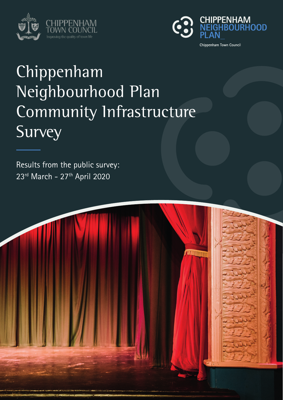



# Chippenham Neighbourhood Plan Community Infrastructure Survey

Results from the public survey: 23rd March - 27th April 2020

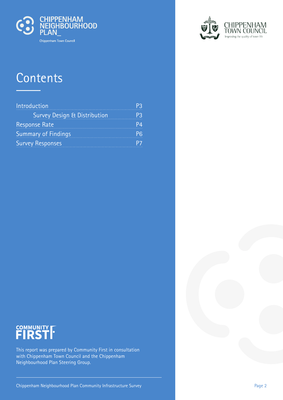

## **Contents**

| Introduction                            |  |
|-----------------------------------------|--|
| <b>Survey Design &amp; Distribution</b> |  |
| <b>Response Rate</b>                    |  |
| <b>Summary of Findings</b>              |  |
| <b>Survey Responses</b>                 |  |



# COMMUNITY **FIRST**

This report was prepared by Community First in consultation with Chippenham Town Council and the Chippenham Neighbourhood Plan Steering Group.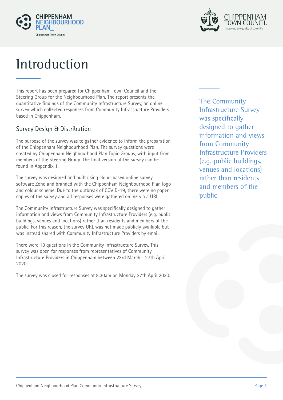



## **Introduction**

This report has been prepared for Chippenham Town Council and the Steering Group for the Neighbourhood Plan. The report presents the quantitative findings of the Community Infrastructure Survey, an online survey which collected responses from Community Infrastructure Providers based in Chippenham.

### Survey Design & Distribution

The purpose of the survey was to gather evidence to inform the preparation of the Chippenham Neighbourhood Plan. The survey questions were created by Chippenham Neighbourhood Plan Topic Groups, with input from members of the Steering Group. The final version of the survey can be found in Appendix 1.

The survey was designed and built using cloud-based online survey software Zoho and branded with the Chippenham Neighbourhood Plan logo and colour scheme. Due to the outbreak of COVID-19, there were no paper copies of the survey and all responses were gathered online via a URL.

The Community Infrastructure Survey was specifically designed to gather information and views from Community Infrastructure Providers (e.g. public buildings, venues and locations) rather than residents and members of the public. For this reason, the survey URL was not made publicly available but was instead shared with Community Infrastructure Providers by email.

There were 18 questions in the Community Infrastructure Survey. This survey was open for responses from representatives of Community Infrastructure Providers in Chippenham between 23rd March - 27th April 2020.

The survey was closed for responses at 8.30am on Monday 27th April 2020.

The Community Infrastructure Survey was specifically designed to gather information and views from Community Infrastructure Providers (e.g. public buildings, venues and locations) rather than residents and members of the public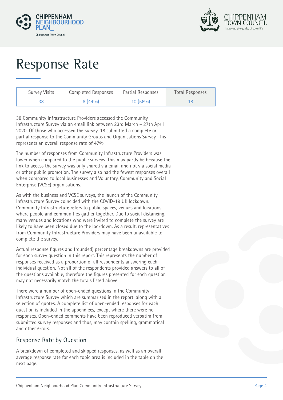



# Response Rate

| <b>Survey Visits</b> | Completed Responses | Partial Responses | <b>Total Responses</b> |
|----------------------|---------------------|-------------------|------------------------|
| 38                   | $8(44\%)$           | $10(56\%)$        |                        |

38 Community Infrastructure Providers accessed the Community Infrastructure Survey via an email link between 23rd March – 27th April 2020. Of those who accessed the survey, 18 submitted a complete or partial response to the Community Groups and Organisations Survey. This represents an overall response rate of 47%.

The number of responses from Community Infrastructure Providers was lower when compared to the public surveys. This may partly be because the link to access the survey was only shared via email and not via social media or other public promotion. The survey also had the fewest responses overall when compared to local businesses and Voluntary, Community and Social Enterprise (VCSE) organisations.

As with the business and VCSE surveys, the launch of the Community Infrastructure Survey coincided with the COVID-19 UK lockdown. Community Infrastructure refers to public spaces, venues and locations where people and communities gather together. Due to social distancing, many venues and locations who were invited to complete the survey are likely to have been closed due to the lockdown. As a result, representatives from Community Infrastructure Providers may have been unavailable to complete the survey.

Actual response figures and (rounded) percentage breakdowns are provided for each survey question in this report. This represents the number of responses received as a proportion of all respondents answering each individual question. Not all of the respondents provided answers to all of the questions available, therefore the figures presented for each question may not necessarily match the totals listed above.

There were a number of open-ended questions in the Community Infrastructure Survey which are summarised in the report, along with a selection of quotes. A complete list of open-ended responses for each question is included in the appendices, except where there were no responses. Open-ended comments have been reproduced verbatim from submitted survey responses and thus, may contain spelling, grammatical and other errors.

### Response Rate by Question

A breakdown of completed and skipped responses, as well as an overall average response rate for each topic area is included in the table on the next page.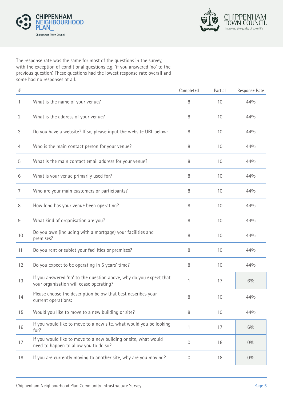



The response rate was the same for most of the questions in the survey, with the exception of conditional questions e.g. 'if you answered 'no' to the previous question'. These questions had the lowest response rate overall and some had no responses at all.

| $\#$           |                                                                                                               | Completed   | Partial | Response Rate |
|----------------|---------------------------------------------------------------------------------------------------------------|-------------|---------|---------------|
| 1              | What is the name of your venue?                                                                               | 8           | 10      | 44%           |
| $\overline{2}$ | What is the address of your venue?                                                                            | 8           | 10      | 44%           |
| 3              | Do you have a website? If so, please input the website URL below:                                             | 8           | 10      | 44%           |
| 4              | Who is the main contact person for your venue?                                                                | 8           | 10      | 44%           |
| 5              | What is the main contact email address for your venue?                                                        | 8           | 10      | 44%           |
| 6              | What is your venue primarily used for?                                                                        | 8           | 10      | 44%           |
| 7              | Who are your main customers or participants?                                                                  | 8           | 10      | 44%           |
| 8              | How long has your venue been operating?                                                                       | 8           | 10      | 44%           |
| 9              | What kind of organisation are you?                                                                            | 8           | 10      | 44%           |
| 10             | Do you own (including with a mortgage) your facilities and<br>premises?                                       | 8           | 10      | 44%           |
| 11             | Do you rent or sublet your facilities or premises?                                                            | 8           | 10      | 44%           |
| 12             | Do you expect to be operating in 5 years' time?                                                               | 8           | 10      | 44%           |
| 13             | If you answered 'no' to the question above, why do you expect that<br>your organisation will cease operating? | 1           | 17      | 6%            |
| 14             | Please choose the description below that best describes your<br>current operations:                           | 8           | 10      | 44%           |
| 15             | Would you like to move to a new building or site?                                                             | 8           | 10      | 44%           |
| 16             | If you would like to move to a new site, what would you be looking<br>for?                                    | 1           | 17      | 6%            |
| 17             | If you would like to move to a new building or site, what would<br>need to happen to allow you to do so?      | $\mathbf 0$ | 18      | 0%            |
| 18             | If you are currently moving to another site, why are you moving?                                              | 0           | 18      | 0%            |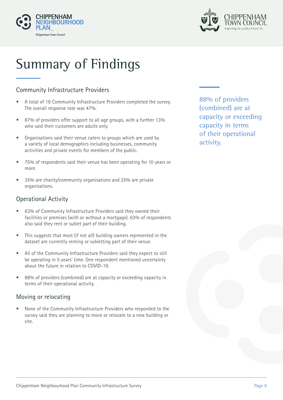



# Summary of Findings

### Community Infrastructure Providers

- A total of 18 Community Infrastructure Providers completed the survey. The overall response rate was 47%.
- 87% of providers offer support to all age groups, with a further 13% who said their customers are adults only.
- Organisations said their venue caters to groups which are used by a variety of local demographics including businesses, community activities and private events for members of the public.
- 75% of respondents said their venue has been operating for 10 years or more.
- 35% are charity/community organisations and 25% are private organisations.

### Operational Activity

- 63% of Community Infrastructure Providers said they owned their facilities or premises (with or without a mortgage). 63% of respondents also said they rent or sublet part of their building.
- This suggests that most (if not all) building owners represented in the dataset are currently renting or subletting part of their venue.
- All of the Community Infrastructure Providers said they expect to still be operating in 5 years' time. One respondent mentioned uncertainty about the future in relation to COVID-19.
- 88% of providers (combined) are at capacity or exceeding capacity in terms of their operational activity.

### Moving or relocating

• None of the Community Infrastructure Providers who responded to the survey said they are planning to move or relocate to a new building or site.

88% of providers (combined) are at capacity or exceeding capacity in terms of their operational activity.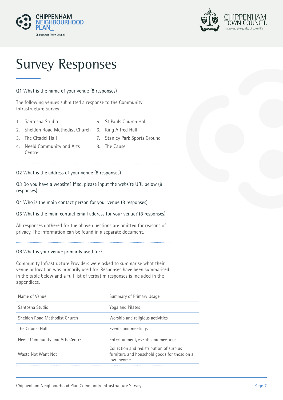



## Survey Responses

#### Q1 What is the name of your venue (8 responses)

The following venues submitted a response to the Community Infrastructure Survey:

- 1. Santosha Studio
- 5. St Pauls Church Hall
- 2. Sheldon Road Methodist Church 6. King Alfred Hall
	-

7. Stanley Park Sports Ground

3. The Citadel Hall

Centre

4. Neeld Community and Arts 8. The Cause

#### Q2 What is the address of your venue (8 responses)

Q3 Do you have a website? If so, please input the website URL below (8 responses)

Q4 Who is the main contact person for your venue (8 responses)

Q5 What is the main contact email address for your venue? (8 responses)

All responses gathered for the above questions are omitted for reasons of privacy. The information can be found in a separate document.

#### Q6 What is your venue primarily used for?

Community Infrastructure Providers were asked to summarise what their venue or location was primarily used for. Responses have been summarised in the table below and a full list of verbatim responses is included in the appendices.

| Name of Venue                   | Summary of Primary Usage                                                                               |
|---------------------------------|--------------------------------------------------------------------------------------------------------|
| Santosha Studio                 | Yoga and Pilates                                                                                       |
| Sheldon Road Methodist Church   | Worship and religious activities                                                                       |
| The Citadel Hall                | Events and meetings                                                                                    |
| Neeld Community and Arts Centre | Entertainment, events and meetings                                                                     |
| Waste Not Want Not              | Collection and redistribution of surplus<br>furniture and household goods for those on a<br>low income |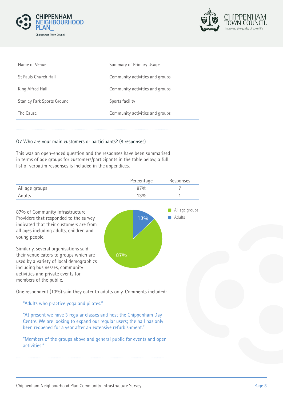



| Name of Venue                     | Summary of Primary Usage        |
|-----------------------------------|---------------------------------|
| St Pauls Church Hall              | Community activities and groups |
| King Alfred Hall                  | Community activities and groups |
| <b>Stanley Park Sports Ground</b> | Sports facility                 |
| The Cause                         | Community activities and groups |
|                                   |                                 |

#### Q7 Who are your main customers or participants? (8 responses)

This was an open-ended question and the responses have been summarised in terms of age groups for customers/participants in the table below, a full list of verbatim responses is included in the appendices.

|                | Percentage | Responses |
|----------------|------------|-----------|
| All age groups | 87%        |           |
| Adults         | 13%        |           |

**87%**

All age groups

**13%** Adults

87% of Community Infrastructure Providers that responded to the survey indicated that their customers are from all ages including adults, children and young people.

Similarly, several organisations said their venue caters to groups which are used by a variety of local demographics including businesses, community activities and private events for members of the public.

One respondent (13%) said they cater to adults only. Comments included:

"Adults who practice yoga and pilates."

"At present we have 3 regular classes and host the Chippenham Day Centre. We are looking to expand our regular users; the hall has only been reopened for a year after an extensive refurbishment."

"Members of the groups above and general public for events and open activities."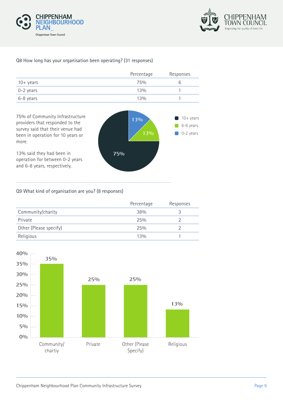



#### Q8 How long has your organisation been operating? (31 responses)

|                    | Percentage | Responses |
|--------------------|------------|-----------|
| $10 + \gamma$ ears | 75%        | h         |
| 0-2 years          | 13%        |           |
| 6-8 years          | 13%        |           |



#### Q9 What kind of organisation are you? (8 responses)

|                        | Percentage | Responses |
|------------------------|------------|-----------|
| Community/charity      | 38%        |           |
| Private                | 25%        |           |
| Other (Please specify) | 25%        |           |
| Religious              | 13%        |           |

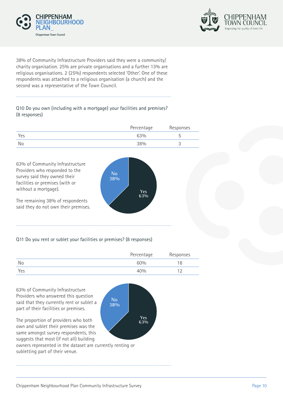



38% of Community Infrastructure Providers said they were a community/ charity organisation. 25% are private organisations and a further 13% are religious organisations. 2 (25%) respondents selected 'Other'. One of these respondents was attached to a religious organisation (a church) and the second was a representative of the Town Council.

#### Q10 Do you own (including with a mortgage) your facilities and premises? (8 responses)

|     | Percentage | Responses |
|-----|------------|-----------|
| Yes | 63%        |           |
| No  | 38%        | ັ         |



#### Q11 Do you rent or sublet your facilities or premises? (8 responses)

|     | Percentage | Responses |
|-----|------------|-----------|
| No  | 60%        | 18        |
| Yes | 40%        |           |

**No 38%**

> **Yes 63%**

63% of Community Infrastructure Providers who answered this question said that they currently rent or sublet a part of their facilities or premises.

The proportion of providers who both own and sublet their premises was the same amongst survey respondents, this suggests that most (if not all) building

owners represented in the dataset are currently renting or subletting part of their venue.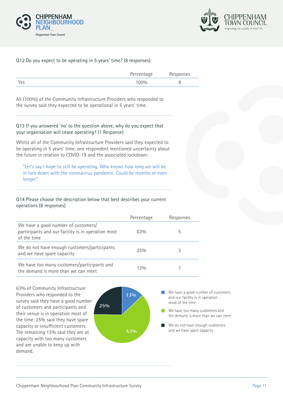



#### Q12 Do you expect to be operating in 5 years' time? (8 responses)

|     | Percentage | Responses |
|-----|------------|-----------|
| Yes | 00%        |           |

All (100%) of the Community Infrastructure Providers who responded to the survey said they expected to be operational in 5 years' time.

#### Q13 If you answered 'no' to the question above, why do you expect that your organisation will cease operating? (1 Response)

Whilst all of the Community Infrastructure Providers said they expected to be operating in 5 years' time, one respondent mentioned uncertainty about the future in relation to COVID-19 and the associated lockdown:

"Let's say I hope to still be operating. Who knows how long we will be in lock down with the coronavirus pandemic. Could be months or even longer."

#### Q14 Please choose the description below that best describes your current operations (8 responses)

|                                                                                                          | Percentage | Responses |
|----------------------------------------------------------------------------------------------------------|------------|-----------|
| We have a good number of customers/<br>participants and our facility is in operation most<br>of the time | 63%        | b.        |
| We do not have enough customers/participants<br>and we have spare capacity                               | 25%        |           |
| We have too many customers/participants and<br>the demand is more than we can meet                       | 13%        |           |

63% of Community Infrastructure Providers who responded to the survey said they have a good number of customers and participants and their venue is in operation most of the time. 25% said they have spare capacity or insufficient customers. The remaining 13% said they are at capacity with too many customers and are unable to keep up with demand.

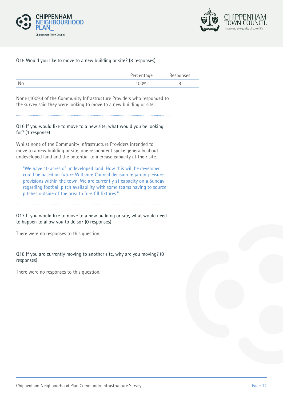



#### Q15 Would you like to move to a new building or site? (8 responses)

|    | Percentage | Responses |
|----|------------|-----------|
| No | 100%       |           |

None (100%) of the Community Infrastructure Providers who responded to the survey said they were looking to move to a new building or site.

#### Q16 If you would like to move to a new site, what would you be looking for? (1 response)

Whilst none of the Community Infrastructure Providers intended to move to a new building or site, one respondent spoke generally about undeveloped land and the potential to increase capacity at their site.

"We have 10 acres of undeveloped land. How this will be developed could be based on future Wiltshire Council decision regarding leisure provisions within the town. We are currently at capacity on a Sunday regarding football pitch availability with some teams having to source pitches outside of the area to fore fill fixtures."

Q17 If you would like to move to a new building or site, what would need to happen to allow you to do so? (0 responses)

There were no responses to this question.

Q18 If you are currently moving to another site, why are you moving? (0 responses)

There were no responses to this question.